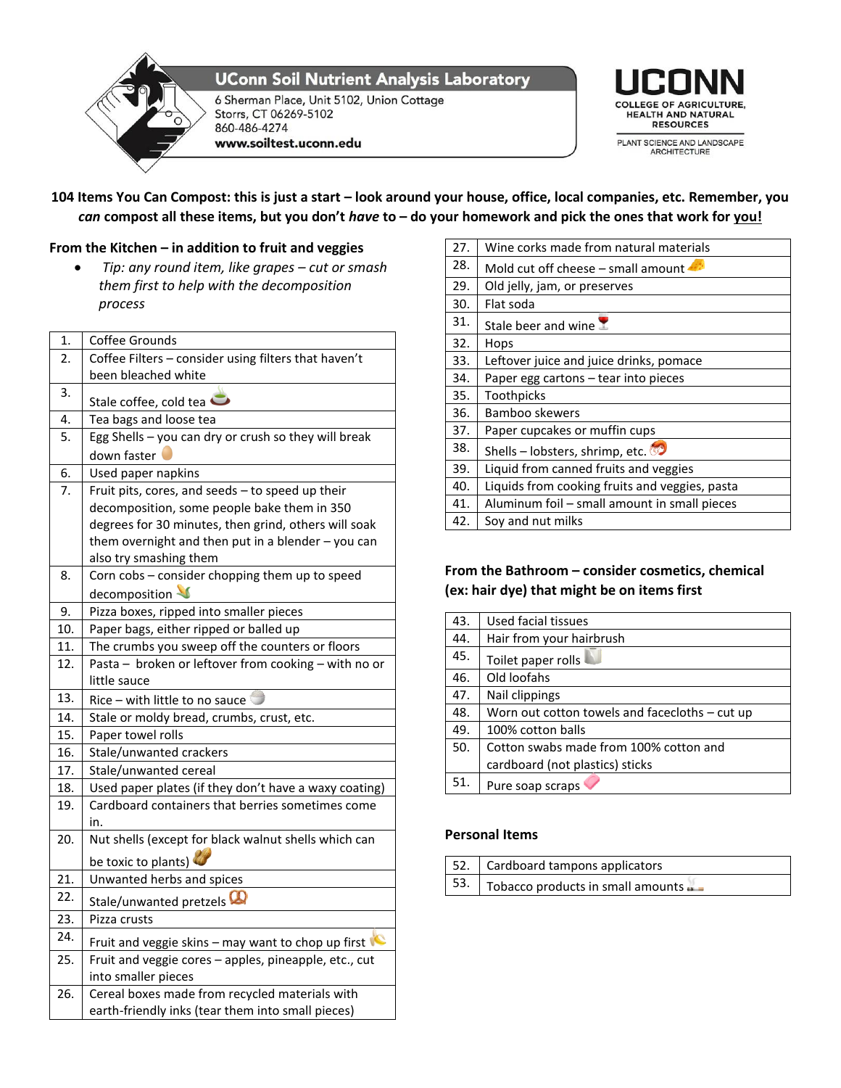

**UConn Soil Nutrient Analysis Laboratory** 

6 Sherman Place, Unit 5102, Union Cottage Storrs, CT 06269-5102 860-486-4274 www.soiltest.uconn.edu



## **104 Items You Can Compost: this is just a start – look around your house, office, local companies, etc. Remember, you**  *can* **compost all these items, but you don't** *have* **to – do your homework and pick the ones that work for you!**

### **From the Kitchen – in addition to fruit and veggies**

 *Tip: any round item, like grapes – cut or smash them first to help with the decomposition process*

| 1.  | Coffee Grounds                                          |
|-----|---------------------------------------------------------|
| 2.  | Coffee Filters - consider using filters that haven't    |
|     | been bleached white                                     |
| 3.  | Stale coffee, cold tea                                  |
| 4.  | Tea bags and loose tea                                  |
| 5.  | Egg Shells - you can dry or crush so they will break    |
|     | down faster                                             |
| 6.  | Used paper napkins                                      |
| 7.  | Fruit pits, cores, and seeds - to speed up their        |
|     | decomposition, some people bake them in 350             |
|     | degrees for 30 minutes, then grind, others will soak    |
|     | them overnight and then put in a blender $-$ you can    |
|     | also try smashing them                                  |
| 8.  | Corn cobs - consider chopping them up to speed          |
|     | decomposition                                           |
| 9.  | Pizza boxes, ripped into smaller pieces                 |
| 10. | Paper bags, either ripped or balled up                  |
| 11. | The crumbs you sweep off the counters or floors         |
| 12. | Pasta - broken or leftover from cooking - with no or    |
|     | little sauce                                            |
| 13. | Rice – with little to no sauce                          |
| 14. | Stale or moldy bread, crumbs, crust, etc.               |
| 15. | Paper towel rolls                                       |
| 16. | Stale/unwanted crackers                                 |
| 17. | Stale/unwanted cereal                                   |
| 18. | Used paper plates (if they don't have a waxy coating)   |
| 19. | Cardboard containers that berries sometimes come<br>in. |
| 20. | Nut shells (except for black walnut shells which can    |
|     | be toxic to plants)                                     |
| 21. | Unwanted herbs and spices                               |
| 22. | Stale/unwanted pretzels                                 |
| 23. | Pizza crusts                                            |
| 24. | Fruit and veggie skins - may want to chop up first      |
| 25. | Fruit and veggie cores - apples, pineapple, etc., cut   |
|     | into smaller pieces                                     |
| 26. | Cereal boxes made from recycled materials with          |
|     | earth-friendly inks (tear them into small pieces)       |

| Wine corks made from natural materials         |
|------------------------------------------------|
| Mold cut off cheese – small amount             |
| Old jelly, jam, or preserves                   |
| Flat soda                                      |
| Stale beer and wine $\mathbb Z$                |
| Hops                                           |
| Leftover juice and juice drinks, pomace        |
| Paper egg cartons – tear into pieces           |
| Toothpicks                                     |
| Bamboo skewers                                 |
| Paper cupcakes or muffin cups                  |
| Shells – lobsters, shrimp, etc.                |
| Liquid from canned fruits and veggies          |
| Liquids from cooking fruits and veggies, pasta |
| Aluminum foil - small amount in small pieces   |
| Soy and nut milks                              |
|                                                |

## **From the Bathroom – consider cosmetics, chemical (ex: hair dye) that might be on items first**

| 43. | Used facial tissues                            |
|-----|------------------------------------------------|
| 44. | Hair from your hairbrush                       |
| 45. | Toilet paper rolls                             |
| 46. | Old loofahs                                    |
| 47. | Nail clippings                                 |
| 48. | Worn out cotton towels and facecloths – cut up |
| 49. | 100% cotton balls                              |
| 50. | Cotton swabs made from 100% cotton and         |
|     | cardboard (not plastics) sticks                |
| 51. | Pure soap scraps                               |

### **Personal Items**

| 52. Cardboard tampons applicators                             |
|---------------------------------------------------------------|
| $\vert$ 53. $\vert$ Tobacco products in small amounts $\vert$ |